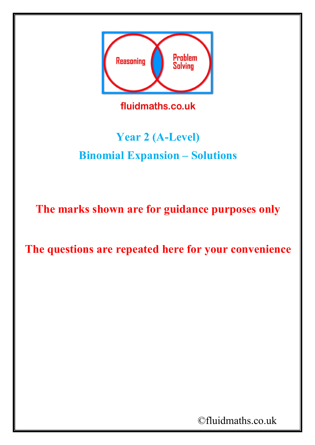

## **Year 2 (A-Level) Binomial Expansion – Solutions**

**The marks shown are for guidance purposes only**

**The questions are repeated here for your convenience**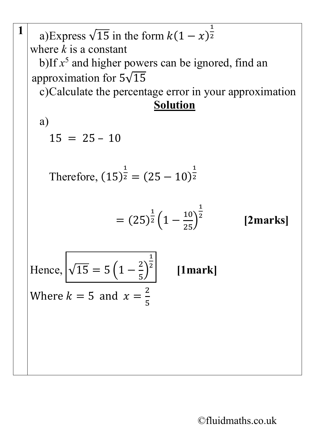**1** a)Express  $\sqrt{15}$  in the form  $k(1-x)^{\frac{1}{2}}$ 2 where *k* is a constant b)If  $x^5$  and higher powers can be ignored, find an approximation for  $5\sqrt{15}$ c)Calculate the percentage error in your approximation **Solution** a)  $15 = 25 - 10$ Therefore, (15)  $\overline{\mathsf{I}}$  $z = (25 - 10)$  $\overline{1}$ 2  $= (25)$  $rac{1}{2}\left(1-\frac{10}{25}\right)$  $\frac{1}{25}$  $\overline{1}$ <sup>2</sup> **[2marks]** Hence,  $\sqrt{15} = 5\left(1 - \frac{2}{5}\right)$  $\int$  $\overline{\mathsf{1}}$ <sup>2</sup> **[1mark]** Where  $k = 5$  and  $x =$  $\frac{2}{5}$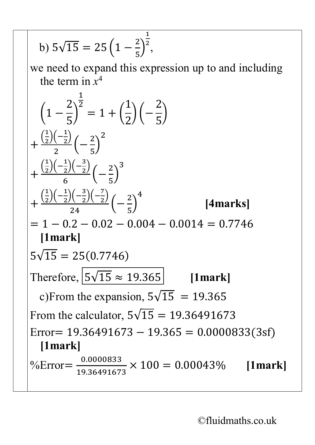b) 
$$
5\sqrt{15} = 25\left(1 - \frac{2}{5}\right)^{\frac{1}{2}}
$$
,  
\nwe need to expand this expression up to and including  
\nthe term in  $x^4$   
\n
$$
\left(1 - \frac{2}{5}\right)^{\frac{1}{2}} = 1 + \left(\frac{1}{2}\right)\left(-\frac{2}{5}\right)
$$
\n
$$
+\frac{\left(\frac{1}{2}\right)\left(-\frac{1}{2}\right)\left(-\frac{2}{5}\right)^2}{2}\left(-\frac{2}{5}\right)^3
$$
\n
$$
+\frac{\left(\frac{1}{2}\right)\left(-\frac{1}{2}\right)\left(-\frac{3}{2}\right)\left(-\frac{7}{2}\right)}{6}\left(-\frac{2}{5}\right)^4
$$
\n[4marks]  
\n
$$
= 1 - 0.2 - 0.02 - 0.004 - 0.0014 = 0.7746
$$
\n[1mark]  
\n $5\sqrt{15} = 25(0.7746)$   
\nTherefore,  $\frac{5\sqrt{15} \approx 19.365}{24} = 19.365$   
\nTherefore,  $\frac{5\sqrt{15} \approx 19.365}{24} = 19.365$   
\nFrom the equation,  $5\sqrt{15} = 19.36491673$   
\nError = 19.36491673 - 19.365 = 0.0000833(3sf)  
\n[1mark]  
\n% Error =  $\frac{0.0000833}{19.36491673} \times 100 = 0.00043\%$  [1mark]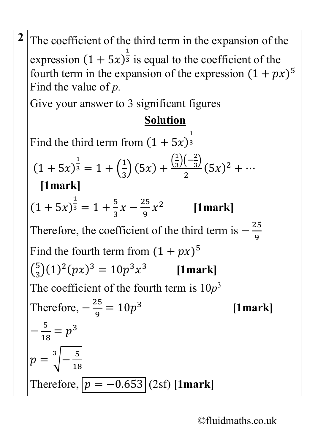**2** The coefficient of the third term in the expansion of the expression  $(1 + 5x)$ 1  $\frac{1}{3}$  is equal to the coefficient of the fourth term in the expansion of the expression  $(1 + px)^5$ Find the value of *p.* Give your answer to 3 significant figures **Solution** Find the third term from  $(1 + 5x)$  $\overline{\mathsf{1}}$ 3  $(1 + 5x)$  $\overline{\mathsf{I}}$  $3 = 1 + ($  $\overline{1}$ 3  $\Big) (5x) + \frac{(\frac{1}{3})^2}{(5x)}$  $\frac{1}{3}$  $\left(-\frac{2}{3}\right)$  $\frac{(3i)}{2}(5x)^2 + \cdots$ **[1mark]**  $(1 + 5x)$  $\frac{1}{3}$  = 1 +  $\frac{5}{3}$ 3  $x-\frac{25}{9}$ 9 <sup>2</sup> **[1mark]** Therefore, the coefficient of the third term is  $-\frac{25}{9}$ 9 Find the fourth term from  $(1 + px)^5$  $\binom{5}{3} (1)^2 (px)^3 = 10p^3x^3$  [1mark] The coefficient of the fourth term is  $10p<sup>3</sup>$ Therefore,  $-\frac{25}{9}$ 9  $= 10p^3$  [1mark]  $-\frac{5}{18}$ 18  $=p^3$  $p = \sqrt[3]{-\frac{5}{18}}$ 18 3 Therefore,  $p = -0.653$  (2sf) **[1mark]**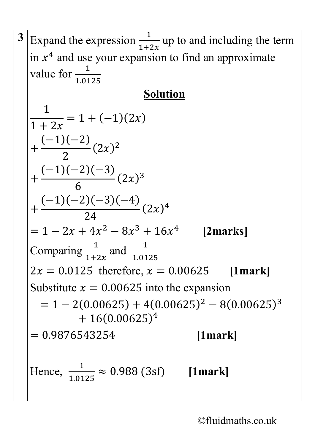3 Expand the expression 
$$
\frac{1}{1+2x}
$$
 up to and including the term  
\nin x<sup>4</sup> and use your expansion to find an approximate  
\nvalue for  $\frac{1}{1.0125}$   
\nSolution  
\n
$$
\frac{1}{1+2x} = 1 + (-1)(2x)
$$
\n+  $\frac{(-1)(-2)}{2}(2x)^2$   
\n+  $\frac{(-1)(-2)(-3)}{6}(2x)^3$   
\n+  $\frac{(-1)(-2)(-3)(-4)}{24}(2x)^4$   
\n= 1 - 2x + 4x<sup>2</sup> - 8x<sup>3</sup> + 16x<sup>4</sup>  
\nComparing  $\frac{1}{1+2x}$  and  $\frac{1}{1.0125}$   
\n2x = 0.0125 therefore, x = 0.00625 [1mark]  
\nSubstitute x = 0.00625 into the expansion  
\n= 1 - 2(0.00625) + 4(0.00625)<sup>2</sup> - 8(0.00625)<sup>3</sup>  
\n+ 16(0.00625)<sup>4</sup>  
\n= 0.9876543254 [1mark]  
\nHence,  $\frac{1}{1.0125} \approx 0.988$  (3sf) [1mark]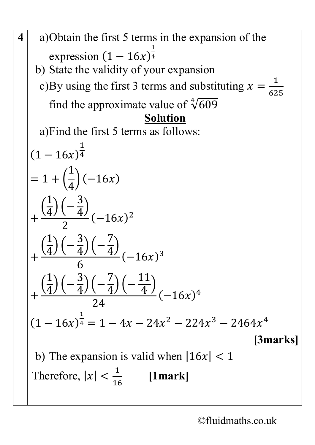4 a)Obtain the first 5 terms in the expansion of the  
\nexpression 
$$
(1 - 16x)^{\frac{1}{4}}
$$
  
\nb) State the validity of your expansion  
\nc)By using the first 3 terms and substituting  $x = \frac{1}{625}$   
\nfind the approximate value of  $\sqrt[4]{609}$   
\na)Find the first 5 terms as follows:  
\n $(1 - 16x)^{\frac{1}{4}}$   
\n $= 1 + (\frac{1}{4})(-16x)$   
\n $+ (\frac{1}{4})(-\frac{3}{4})(-7)(-16x)^{2}$   
\n $+ (\frac{1}{4})(-\frac{3}{4})(-\frac{7}{4})(-16x)^{3}$   
\n $+ (\frac{1}{4})(-\frac{3}{4})(-\frac{7}{4})(-\frac{11}{4})(-16x)^{4}$   
\n $+ (\frac{1}{4})(-\frac{3}{4})(-\frac{7}{4})(-\frac{11}{4})(-16x)^{4}$   
\n $(1 - 16x)^{\frac{1}{4}} = 1 - 4x - 24x^{2} - 224x^{3} - 2464x^{4}$   
\n[3marks]  
\nb) The expansion is valid when  $|16x| < 1$   
\nTherefore,  $|x| < \frac{1}{16}$  [1mark]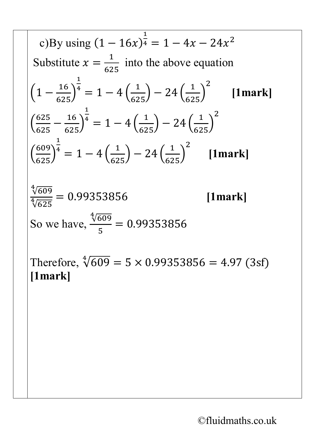c)By using (1 − 16) 1 <sup>4</sup> = 1 − 4 − 24<sup>2</sup> Substitute = 1 625 into the above equation �<sup>1</sup> <sup>−</sup> <sup>16</sup> 625� 1 4 <sup>=</sup> <sup>1</sup> <sup>−</sup> <sup>4</sup> � <sup>1</sup> 625� <sup>−</sup> <sup>24</sup> � <sup>1</sup> 625� 2 **[1mark]** � 625 <sup>625</sup> <sup>−</sup> <sup>16</sup> 625� 1 4 <sup>=</sup> <sup>1</sup> <sup>−</sup> <sup>4</sup> � <sup>1</sup> 625� <sup>−</sup> <sup>24</sup> � <sup>1</sup> 625� 2 � 609 625� 1 4 <sup>=</sup> <sup>1</sup> <sup>−</sup> <sup>4</sup> � <sup>1</sup> 625� <sup>−</sup> <sup>24</sup> � <sup>1</sup> 625� 2 **[1mark]** √609 <sup>4</sup> √625 <sup>4</sup> <sup>=</sup> 0.99353856 **[1mark]** So we have, √609 <sup>4</sup> 5 = 0.99353856 Therefore, √609 <sup>4</sup> = 5 × 0.99353856 = 4.97 (3sf) **[1mark]**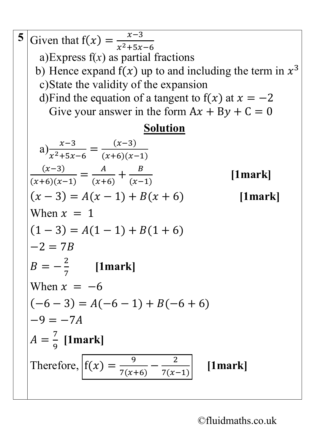**5** Given that  $f(x) = \frac{x-3}{x^2+5x}$  $x^2+5x-6$ a)Express  $f(x)$  as partial fractions b) Hence expand  $f(x)$  up to and including the term in  $x^3$ c)State the validity of the expansion d)Find the equation of a tangent to  $f(x)$  at  $x = -2$ Give your answer in the form  $Ax + By + C = 0$ **Solution** a)  $\frac{x-3}{x^2+5x}$  $x^2+5x-6$ =  $(x-3)$  $(x+6)(x-1)$  $(x-3)$  $(x+6)(x-1)$ =  $\frac{A}{(x+6)} + \frac{B}{(x-6)}$ (−1) **[1mark]**  $(x-3) = A(x-1) + B(x+6)$  [1mark] When  $x = 1$  $(1-3) = A(1-1) + B(1+6)$  $-2 = 7R$  $B = -\frac{2}{7}$ 7 **[1mark]** When  $x = -6$  $(-6 - 3) = A(-6 - 1) + B(-6 + 6)$  $-9 = -7A$  $A=$ 7 9 **[1mark]** Therefore,  $f(x) = \frac{9}{7(x+6)} - \frac{2}{7(x-1)}$  [1mark]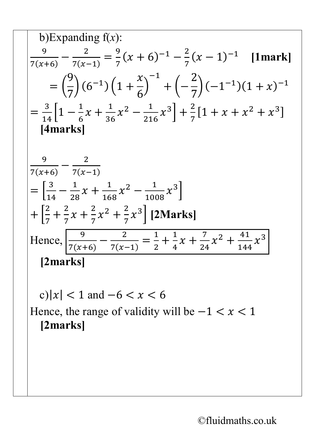b)Expanding f(x):  
\n
$$
\frac{9}{7(x+6)} - \frac{2}{7(x-1)} = \frac{9}{7}(x+6)^{-1} - \frac{2}{7}(x-1)^{-1}
$$
 [1mark]  
\n
$$
= (\frac{9}{7})(6^{-1})(1+\frac{x}{6})^{-1} + (-\frac{2}{7})(-1^{-1})(1+x)^{-1}
$$
\n
$$
= \frac{3}{14}[1-\frac{1}{6}x+\frac{1}{36}x^2-\frac{1}{216}x^3]+\frac{2}{7}[1+x+x^2+x^3]
$$
\n[4marks]  
\n
$$
\frac{9}{7(x+6)} - \frac{2}{7(x-1)}
$$
\n
$$
= [\frac{3}{14} - \frac{1}{28}x+\frac{1}{168}x^2-\frac{1}{1008}x^3]
$$
\n+  $[\frac{2}{7} + \frac{2}{7}x+\frac{2}{7}x^2+\frac{2}{7}x^3]$  [2 Marks]  
\nHence,  $\frac{9}{7(x+6)} - \frac{2}{7(x-1)} = \frac{1}{2} + \frac{1}{4}x+\frac{7}{24}x^2+\frac{41}{144}x^3$   
\n[2marks]  
\nc)|x| < 1 and -6 < x < 6  
\nHence, the range of validity will be -1 < x < 1  
\n[2marks]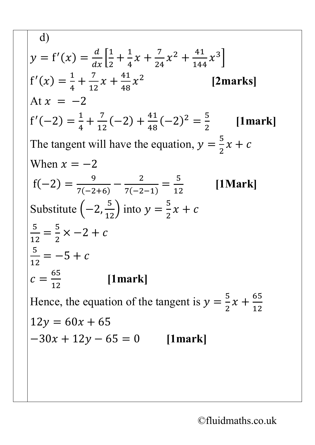d)  $y = f'(x) =$  $\frac{a}{\sqrt{a}}$  $\overline{dx}$  $\overline{\mathsf{I}}$ 2  $+\frac{1}{4}$ 4  $x + \frac{7}{24}$ 24  $x^2 + \frac{41}{144}$ 144  $x^3\Big\}$  $f'(x) =$  $\overline{\mathsf{I}}$ 4  $+\frac{7}{12}$ 12  $x + \frac{41}{48}$ 48 <sup>2</sup> **[2marks]** At  $x = -2$  $f'(-2) =$  $\overline{\mathsf{I}}$ 4  $+\frac{7}{12}(-2)+\frac{41}{48}(-2)^2=\frac{5}{2}$ 2 **[1mark]** The tangent will have the equation,  $y = \frac{5}{2}$ 2  $x + c$ When  $x = -2$  $f(-2) =$  $\frac{9}{7(-2+6)} - \frac{2}{7(-2-1)}$ = 5 12 **[1Mark]** Substitute  $\left(-2, \frac{5}{12}\right)$  into  $y = \frac{5}{2}$ 2  $x + c$ 5 12 =  $\frac{5}{1}$ 2  $x - 2 + c$ 5 12  $=-5 + c$  $c=$ 65 12 **[1mark]** Hence, the equation of the tangent is  $y = \frac{5}{2}$ 2  $x + \frac{65}{12}$  $12y = 60x + 65$  $-30x + 12y - 65 = 0$  [1mark]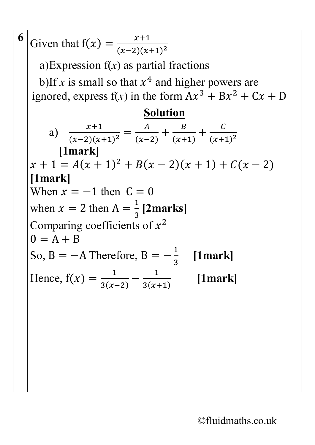| 6 | Given that $f(x) = \frac{x+1}{(x-2)(x+1)^2}$                                                                       |
|---|--------------------------------------------------------------------------------------------------------------------|
|   | a) Expression $f(x)$ as partial fractions                                                                          |
|   | b) If x is small so that $x^4$ and higher powers are<br>ignored, express $f(x)$ in the form $Ax^3 + Bx^2 + Cx + D$ |
|   | <b>Solution</b>                                                                                                    |
|   | a) $\frac{x+1}{(x-2)(x+1)^2} = \frac{A}{(x-2)} + \frac{B}{(x+1)} + \frac{C}{(x+1)^2}$                              |
|   | $[1$ mark]                                                                                                         |
|   | $x + 1 = A(x + 1)^2 + B(x - 2)(x + 1) + C(x - 2)$                                                                  |
|   | $[1$ mark]                                                                                                         |
|   | When $x = -1$ then $C = 0$                                                                                         |
|   | when $x = 2$ then $A = \frac{1}{3}$ [2marks]                                                                       |
|   | Comparing coefficients of $x^2$                                                                                    |
|   | $0 = A + B$                                                                                                        |
|   | So, B = $-A$ Therefore, B = $-\frac{1}{2}$<br>[1mark]                                                              |
|   | Hence, $f(x) = \frac{1}{3(x-2)} - \frac{1}{3(x+1)}$<br>[1mark]                                                     |
|   |                                                                                                                    |
|   |                                                                                                                    |
|   |                                                                                                                    |
|   |                                                                                                                    |
|   |                                                                                                                    |
|   |                                                                                                                    |